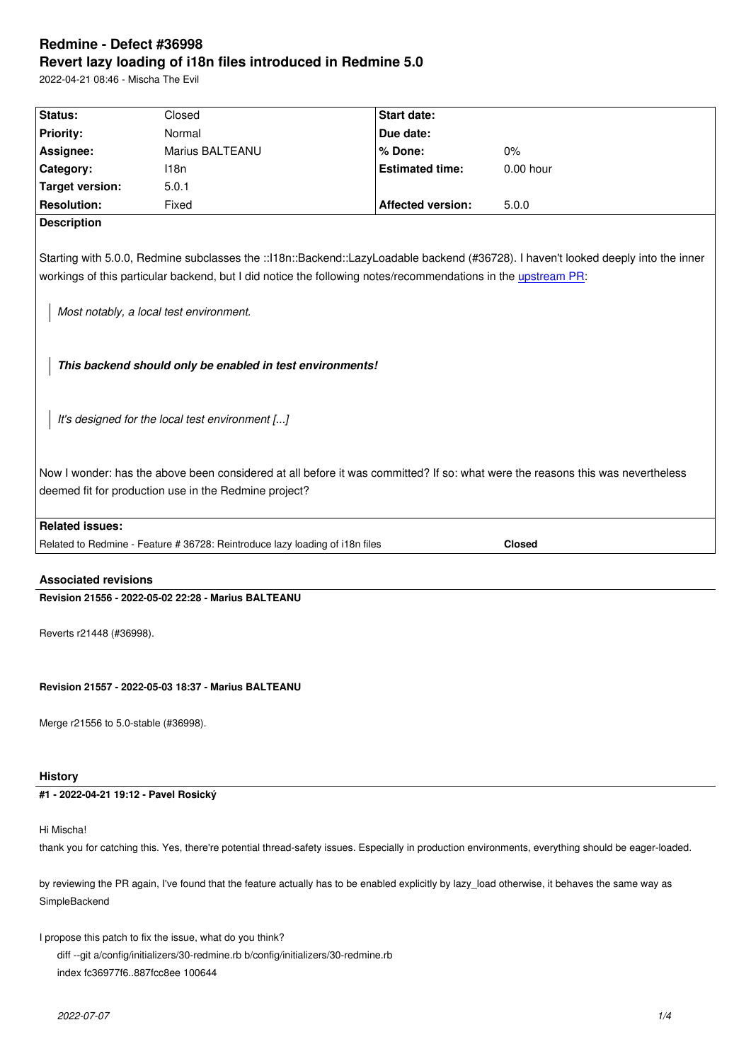#### **Revert lazy loading of i18n files introduced in Redmine 5.0**

2022-04-21 08:46 - Mischa The Evil

| Status:                                                                                                                                                                                                                                                                                                                                                     | Closed                                                                       | <b>Start date:</b>       |               |
|-------------------------------------------------------------------------------------------------------------------------------------------------------------------------------------------------------------------------------------------------------------------------------------------------------------------------------------------------------------|------------------------------------------------------------------------------|--------------------------|---------------|
| Priority:                                                                                                                                                                                                                                                                                                                                                   | Normal                                                                       | Due date:                |               |
| Assignee:                                                                                                                                                                                                                                                                                                                                                   | Marius BALTEANU                                                              | % Done:                  | $0\%$         |
| Category:                                                                                                                                                                                                                                                                                                                                                   | 118n                                                                         | <b>Estimated time:</b>   | $0.00$ hour   |
| <b>Target version:</b>                                                                                                                                                                                                                                                                                                                                      | 5.0.1                                                                        |                          |               |
| <b>Resolution:</b>                                                                                                                                                                                                                                                                                                                                          | Fixed                                                                        | <b>Affected version:</b> | 5.0.0         |
| <b>Description</b>                                                                                                                                                                                                                                                                                                                                          |                                                                              |                          |               |
| Starting with 5.0.0, Redmine subclasses the ::118n::Backend::LazyLoadable backend (#36728). I haven't looked deeply into the inner<br>workings of this particular backend, but I did notice the following notes/recommendations in the upstream PR:<br>Most notably, a local test environment.<br>This backend should only be enabled in test environments! |                                                                              |                          |               |
| It's designed for the local test environment []                                                                                                                                                                                                                                                                                                             |                                                                              |                          |               |
| Now I wonder: has the above been considered at all before it was committed? If so: what were the reasons this was nevertheless<br>deemed fit for production use in the Redmine project?                                                                                                                                                                     |                                                                              |                          |               |
| <b>Related issues:</b>                                                                                                                                                                                                                                                                                                                                      |                                                                              |                          |               |
|                                                                                                                                                                                                                                                                                                                                                             | Related to Redmine - Feature # 36728: Reintroduce lazy loading of i18n files |                          | <b>Closed</b> |
| <b>Associated revisions</b>                                                                                                                                                                                                                                                                                                                                 |                                                                              |                          |               |

**Revision 21556 - 2022-05-02 22:28 - Marius BALTEANU**

Reverts r21448 (#36998).

**Revision 21557 - 2022-05-03 18:37 - Marius BALTEANU**

Merge r21556 to 5.0-stable (#36998).

## **History**

# **#1 - 2022-04-21 19:12 - Pavel Rosický**

Hi Mischa!

thank you for catching this. Yes, there're potential thread-safety issues. Especially in production environments, everything should be eager-loaded.

by reviewing the PR again, I've found that the feature actually has to be enabled explicitly by lazy\_load otherwise, it behaves the same way as SimpleBackend

I propose this patch to fix the issue, what do you think?

diff --git a/config/initializers/30-redmine.rb b/config/initializers/30-redmine.rb

index fc36977f6..887fcc8ee 100644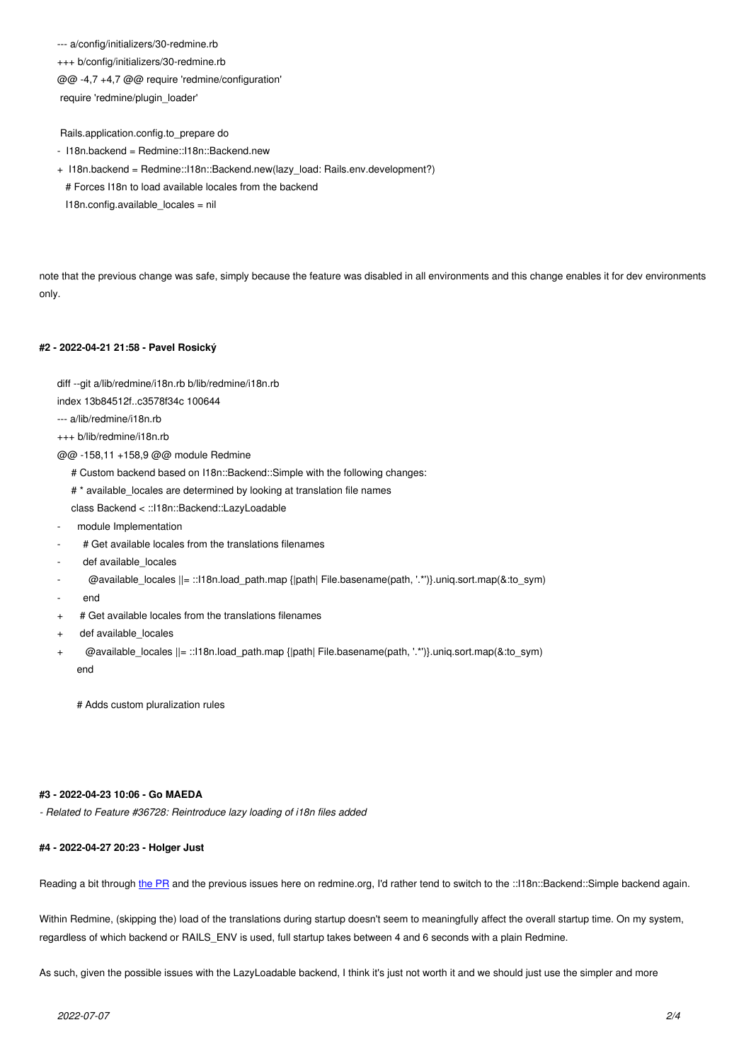$+++$  b/coning/initializers/30-redmine.rb @@ -4,7 +4,7 @@ require 'redmine/configuration' require 'redmine/plugin\_loader'

Rails.application.config.to\_prepare do

- I18n.backend = Redmine::I18n::Backend.new
- + I18n.backend = Redmine::I18n::Backend.new(lazy\_load: Rails.env.development?) # Forces I18n to load available locales from the backend I18n.config.available\_locales = nil

note that the previous change was safe, simply because the feature was disabled in all environments and this change enables it for dev environments only.

### **#2 - 2022-04-21 21:58 - Pavel Rosický**

diff --git a/lib/redmine/i18n.rb b/lib/redmine/i18n.rb

index 13b84512f..c3578f34c 100644

--- a/lib/redmine/i18n.rb

+++ b/lib/redmine/i18n.rb

- @@ -158,11 +158,9 @@ module Redmine
	- # Custom backend based on I18n::Backend::Simple with the following changes:
	- # \* available\_locales are determined by looking at translation file names

class Backend < ::I18n::Backend::LazyLoadable

- module Implementation
- # Get available locales from the translations filenames
- def available\_locales
- @available\_locales ||= ::I18n.load\_path.map {|path| File.basename(path, '.\*')}.uniq.sort.map(&:to\_sym)
- end
- + # Get available locales from the translations filenames
- + def available\_locales
- + @available\_locales ||= ::I18n.load\_path.map {|path| File.basename(path, '.\*')}.uniq.sort.map(&:to\_sym) end

# Adds custom pluralization rules

#### **#3 - 2022-04-23 10:06 - Go MAEDA**

*- Related to Feature #36728: Reintroduce lazy loading of i18n files added*

### **#4 - 2022-04-27 20:23 - Holger Just**

Reading a bit through the PR and the previous issues here on redmine.org, I'd rather tend to switch to the ::118n::Backend::Simple backend again.

Within Redmine, (skipping the) load of the translations during startup doesn't seem to meaningfully affect the overall startup time. On my system, regardless of which b[ackend](https://github.com/ruby-i18n/i18n/pull/612) or RAILS\_ENV is used, full startup takes between 4 and 6 seconds with a plain Redmine.

As such, given the possible issues with the LazyLoadable backend, I think it's just not worth it and we should just use the simpler and more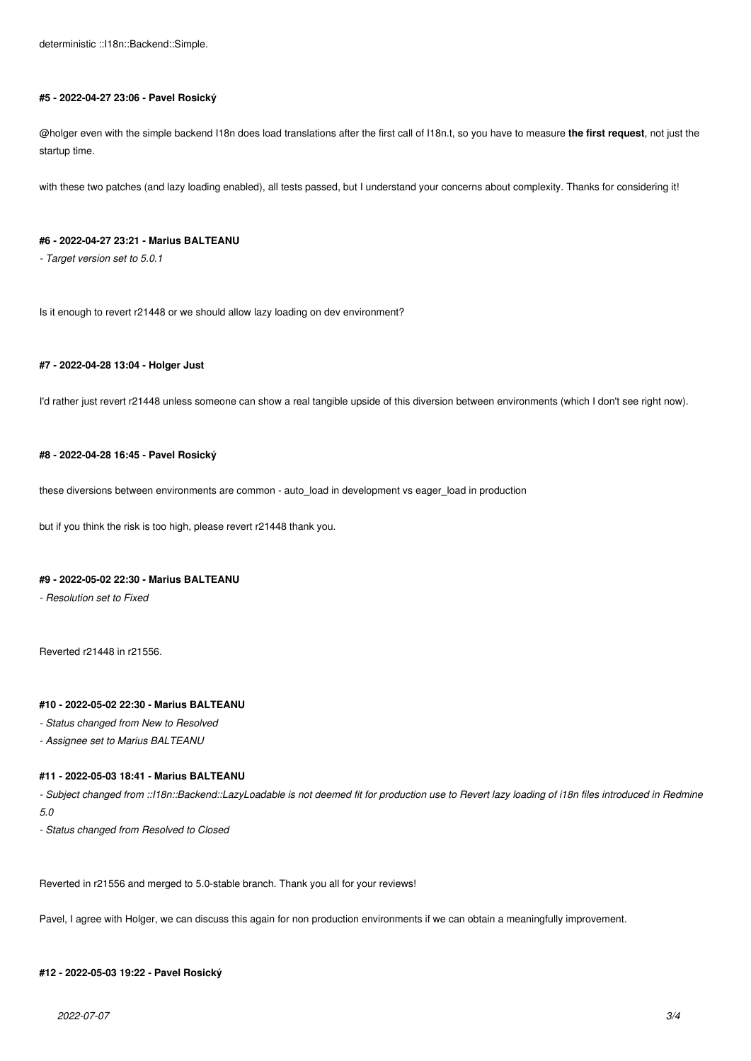### **#5 - 2022-04-27 23:06 - Pavel Rosický**

@holger even with the simple backend I18n does load translations after the first call of I18n.t, so you have to measure **the first request**, not just the startup time.

with these two patches (and lazy loading enabled), all tests passed, but I understand your concerns about complexity. Thanks for considering it!

## **#6 - 2022-04-27 23:21 - Marius BALTEANU**

*- Target version set to 5.0.1*

Is it enough to revert r21448 or we should allow lazy loading on dev environment?

### **#7 - 2022-04-28 13:04 - Holger Just**

I'd rather just revert r21448 unless someone can show a real tangible upside of this diversion between environments (which I don't see right now).

### **#8 - 2022-04-28 16:45 - Pavel Rosický**

these diversions between environments are common - auto\_load in development vs eager\_load in production

but if you think the risk is too high, please revert r21448 thank you.

### **#9 - 2022-05-02 22:30 - Marius BALTEANU**

*- Resolution set to Fixed*

Reverted r21448 in r21556.

### **#10 - 2022-05-02 22:30 - Marius BALTEANU**

*- Status changed from New to Resolved*

*- Assignee set to Marius BALTEANU*

### **#11 - 2022-05-03 18:41 - Marius BALTEANU**

- Subject changed from ::118n::Backend::LazyLoadable is not deemed fit for production use to Revert lazy loading of i18n files introduced in Redmine *5.0*

*- Status changed from Resolved to Closed*

Reverted in r21556 and merged to 5.0-stable branch. Thank you all for your reviews!

Pavel, I agree with Holger, we can discuss this again for non production environments if we can obtain a meaningfully improvement.

### **#12 - 2022-05-03 19:22 - Pavel Rosický**